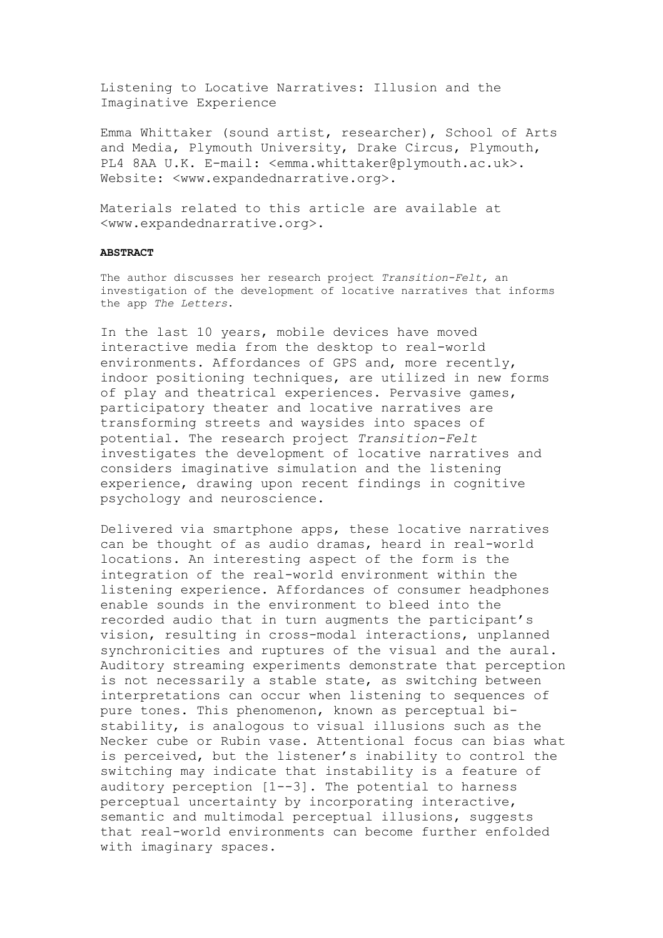Listening to Locative Narratives: Illusion and the Imaginative Experience

Emma Whittaker (sound artist, researcher), School of Arts and Media, Plymouth University, Drake Circus, Plymouth, PL4 8AA U.K. E-mail: <emma.whittaker@plymouth.ac.uk>. Website: <www.expandednarrative.org>.

Materials related to this article are available at <www.expandednarrative.org>.

## **ABSTRACT**

The author discusses her research project *Transition-Felt,* an investigation of the development of locative narratives that informs the app *The Letters*.

In the last 10 years, mobile devices have moved interactive media from the desktop to real-world environments. Affordances of GPS and, more recently, indoor positioning techniques, are utilized in new forms of play and theatrical experiences. Pervasive games, participatory theater and locative narratives are transforming streets and waysides into spaces of potential. The research project *Transition-Felt*  investigates the development of locative narratives and considers imaginative simulation and the listening experience, drawing upon recent findings in cognitive psychology and neuroscience.

Delivered via smartphone apps, these locative narratives can be thought of as audio dramas, heard in real-world locations. An interesting aspect of the form is the integration of the real-world environment within the listening experience. Affordances of consumer headphones enable sounds in the environment to bleed into the recorded audio that in turn augments the participant's vision, resulting in cross-modal interactions, unplanned synchronicities and ruptures of the visual and the aural. Auditory streaming experiments demonstrate that perception is not necessarily a stable state, as switching between interpretations can occur when listening to sequences of pure tones. This phenomenon, known as perceptual bistability, is analogous to visual illusions such as the Necker cube or Rubin vase. Attentional focus can bias what is perceived, but the listener's inability to control the switching may indicate that instability is a feature of auditory perception [1--3]. The potential to harness perceptual uncertainty by incorporating interactive, semantic and multimodal perceptual illusions, suggests that real-world environments can become further enfolded with imaginary spaces.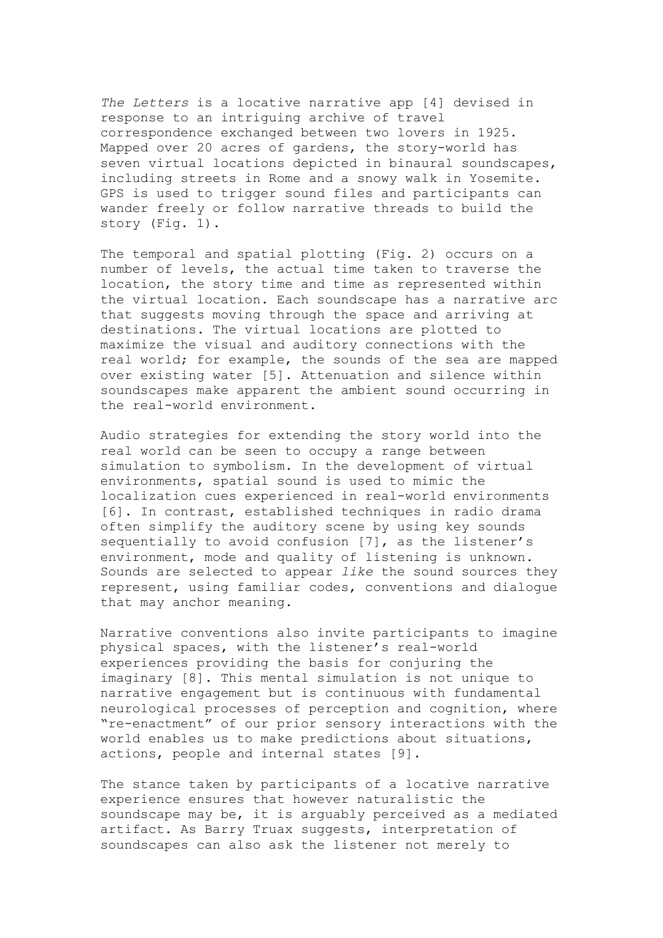*The Letters* is a locative narrative app [4] devised in response to an intriguing archive of travel correspondence exchanged between two lovers in 1925. Mapped over 20 acres of gardens, the story-world has seven virtual locations depicted in binaural soundscapes, including streets in Rome and a snowy walk in Yosemite. GPS is used to trigger sound files and participants can wander freely or follow narrative threads to build the story (Fig. 1).

The temporal and spatial plotting (Fig. 2) occurs on a number of levels, the actual time taken to traverse the location, the story time and time as represented within the virtual location. Each soundscape has a narrative arc that suggests moving through the space and arriving at destinations. The virtual locations are plotted to maximize the visual and auditory connections with the real world; for example, the sounds of the sea are mapped over existing water [5]. Attenuation and silence within soundscapes make apparent the ambient sound occurring in the real-world environment.

Audio strategies for extending the story world into the real world can be seen to occupy a range between simulation to symbolism. In the development of virtual environments, spatial sound is used to mimic the localization cues experienced in real-world environments [6]. In contrast, established techniques in radio drama often simplify the auditory scene by using key sounds sequentially to avoid confusion [7], as the listener's environment, mode and quality of listening is unknown. Sounds are selected to appear *like* the sound sources they represent, using familiar codes, conventions and dialogue that may anchor meaning.

Narrative conventions also invite participants to imagine physical spaces, with the listener's real-world experiences providing the basis for conjuring the imaginary [8]. This mental simulation is not unique to narrative engagement but is continuous with fundamental neurological processes of perception and cognition, where "re-enactment" of our prior sensory interactions with the world enables us to make predictions about situations, actions, people and internal states [9].

The stance taken by participants of a locative narrative experience ensures that however naturalistic the soundscape may be, it is arguably perceived as a mediated artifact. As Barry Truax suggests, interpretation of soundscapes can also ask the listener not merely to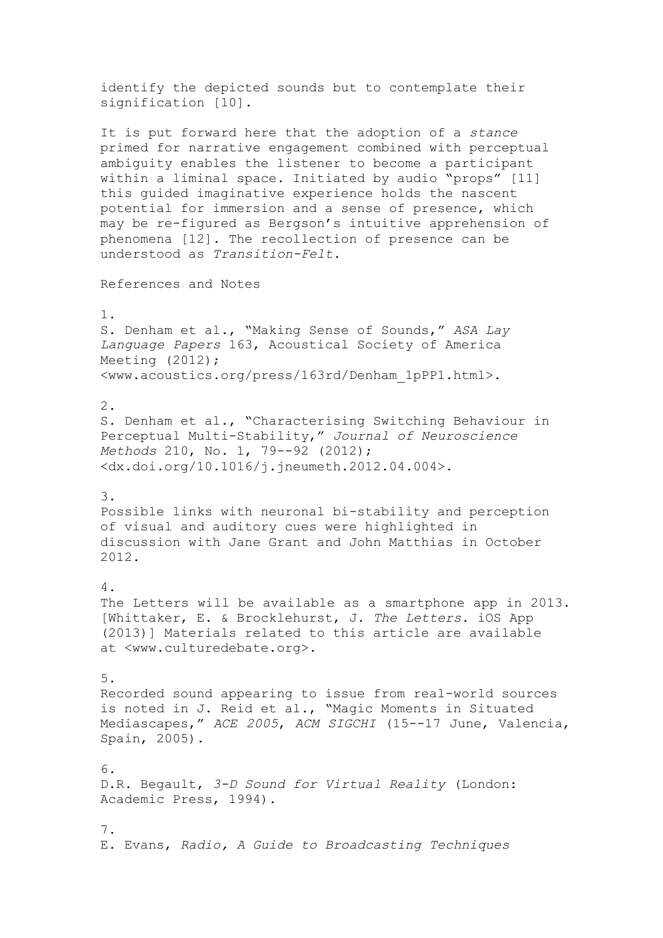identify the depicted sounds but to contemplate their signification [10].

It is put forward here that the adoption of a *stance* primed for narrative engagement combined with perceptual ambiguity enables the listener to become a participant within a liminal space. Initiated by audio "props" [11] this guided imaginative experience holds the nascent potential for immersion and a sense of presence, which may be re-figured as Bergson's intuitive apprehension of phenomena [12]. The recollection of presence can be understood as *Transition-Felt.*

References and Notes

1.

S. Denham et al., "Making Sense of Sounds," *ASA Lay Language Papers* 163, Acoustical Society of America Meeting (2012); <www.acoustics.org/press/163rd/Denham\_1pPP1.html>.

2.

S. Denham et al., "Characterising Switching Behaviour in Perceptual Multi-Stability," *Journal of Neuroscience Methods* 210, No. 1, 79--92 (2012); <dx.doi.org/10.1016/j.jneumeth.2012.04.004>.

3.

Possible links with neuronal bi-stability and perception of visual and auditory cues were highlighted in discussion with Jane Grant and John Matthias in October 2012.

4. The Letters will be available as a smartphone app in 2013. [Whittaker, E. & Brocklehurst, J. *The Letters.* iOS App (2013)] Materials related to this article are available at <www.culturedebate.org>.

## 5.

Recorded sound appearing to issue from real-world sources is noted in J. Reid et al., "Magic Moments in Situated Mediascapes," *ACE 2005*, *ACM SIGCHI* (15--17 June, Valencia, Spain, 2005).

6. D.R. Begault, *3-D Sound for Virtual Reality* (London: Academic Press, 1994).

7. E. Evans, *Radio, A Guide to Broadcasting Techniques*